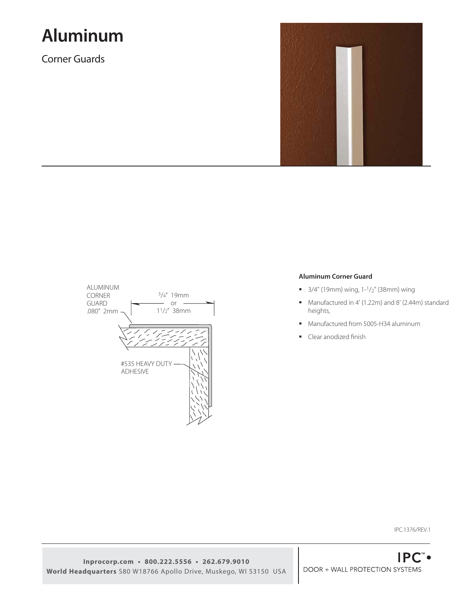# **Aluminum**

Corner Guards





## **Aluminum Corner Guard**

- $\blacksquare$  3/4" (19mm) wing, 1-1/<sub>2</sub>" (38mm) wing
- Manufactured in 4' (1.22m) and 8' (2.44m) standard heights,
- **Manufactured from 5005-H34 aluminum**
- Clear anodized finish

IPC.1376/REV.1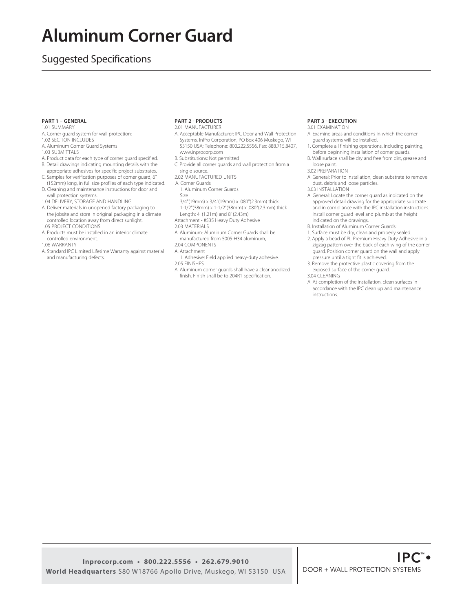## **Aluminum Corner Guard**

## Suggested Specifications

### **PART 1 – GENERAL**

- 1.01 SUMMARY
- A. Corner guard system for wall protection:
- 1.02 SECTION INCLUDES
- A. Aluminum Corner Guard Systems
- 1.03 SUBMITTALS
- A. Product data for each type of corner guard specified. B. Detail drawings indicating mounting details with the
- appropriate adhesives for specific project substrates. C. Samples for verification purposes of corner guard, 6" (152mm) long, in full size profiles of each type indicated.
- D. Cleaning and maintenance instructions for door and wall protection systems.
- 1.04 DELIVERY, STORAGE AND HANDLING
- A. Deliver materials in unopened factory packaging to the jobsite and store in original packaging in a climate controlled location away from direct sunlight. 1.05 PROJECT CONDITIONS
- A. Products must be installed in an interior climate controlled environment.
- 1.06 WARRANTY
- A. Standard IPC Limited Lifetime Warranty against material and manufacturing defects.

#### **PART 2 - PRODUCTS**

2.01 MANUFACTURER

- A. Acceptable Manufacturer: IPC Door and Wall Protection Systems, InPro Corporation, PO Box 406 Muskego, WI 53150 USA; Telephone: 800.222.5556, Fax: 888.715.8407, www.inprocorp.com
- B. Substitutions: Not permitted
- C. Provide all corner guards and wall protection from a
- single source.
- 2.02 MANUFACTURED UNITS
- A. Corner Guards 1. Aluminum Corner Guards
- Size
- 3/4"(19mm) x 3/4"(19mm) x .080"(2.3mm) thick
- 1-1/2"(38mm) x 1-1/2"(38mm) x .080"(2.3mm) thick
- Length: 4' (1.21m) and 8' (2.43m)
- Attachment #535 Heavy Duty Adhesive
- 2.03 MATERIALS
- A. Aluminum: Aluminum Corner Guards shall be manufactured from 5005-H34 aluminum,
- 2.04 COMPONENTS
- A. Attachment
- 1. Adhesive: Field applied heavy-duty adhesive. 2.05 FINISHES
- A. Aluminum corner guards shall have a clear anodized
- finish. Finish shall be to 204R1 specification.

### **PART 3 - EXECUTION**

- 3.01 EXAMINATION
- A. Examine areas and conditions in which the corner guard systems will be installed.
- 1. Complete all finishing operations, including painting, before beginning installation of corner guards.
- B. Wall surface shall be dry and free from dirt, grease and loose paint.
- 3.02 PREPARATION
- A. General: Prior to installation, clean substrate to remove dust, debris and loose particles. 3.03 INSTALLATION
- 
- A. General: Locate the corner guard as indicated on the approved detail drawing for the appropriate substrate and in compliance with the IPC installation instructions. Install corner guard level and plumb at the height indicated on the drawings.
- B. Installation of Aluminum Corner Guards:
- 1. Surface must be dry, clean and properly sealed.
- 2. Apply a bead of PL Premium Heavy Duty Adhesive in a zigzag pattern over the back of each wing of the corner guard. Position corner guard on the wall and apply pressure until a tight fit is achieved.
- 3. Remove the protective plastic covering from the exposed surface of the corner guard.
- 3.04 CLEANING
- A. At completion of the installation, clean surfaces in accordance with the IPC clean up and maintenance instructions.